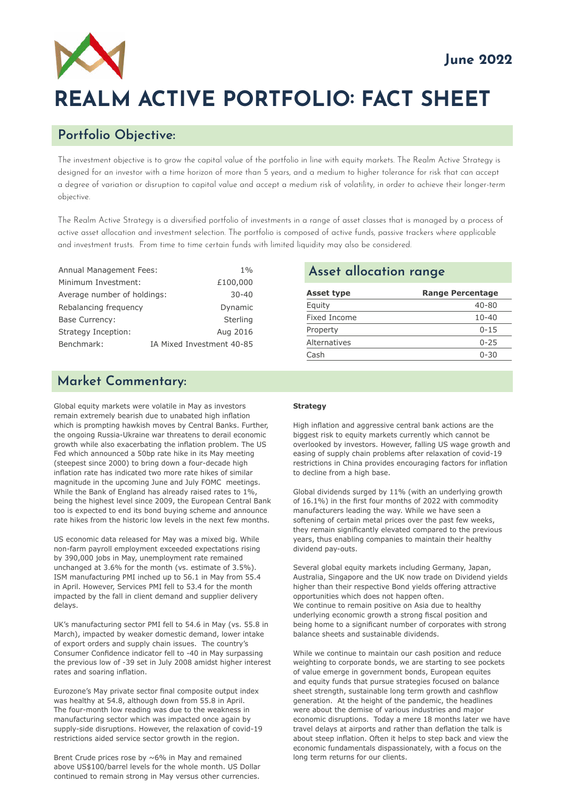

# **REALM ACTIVE PORTFOLIO: FACT SHEET**

## **Portfolio Objective:**

The investment objective is to grow the capital value of the portfolio in line with equity markets. The Realm Active Strategy is designed for an investor with a time horizon of more than 5 years, and a medium to higher tolerance for risk that can accept a degree of variation or disruption to capital value and accept a medium risk of volatility, in order to achieve their longer-term objective.

The Realm Active Strategy is a diversified portfolio of investments in a range of asset classes that is managed by a process of active asset allocation and investment selection. The portfolio is composed of active funds, passive trackers where applicable and investment trusts. From time to time certain funds with limited liquidity may also be considered.

| <b>Annual Management Fees:</b> | 1%                        |
|--------------------------------|---------------------------|
| Minimum Investment:            | £100,000                  |
| Average number of holdings:    | $30 - 40$                 |
| Rebalancing frequency          | Dynamic                   |
| <b>Base Currency:</b>          | Sterling                  |
| Strategy Inception:            | Aug 2016                  |
| Benchmark:                     | IA Mixed Investment 40-85 |

# **Market Commentary:**

Global equity markets were volatile in May as investors remain extremely bearish due to unabated high inflation which is prompting hawkish moves by Central Banks. Further, the ongoing Russia-Ukraine war threatens to derail economic growth while also exacerbating the inflation problem. The US Fed which announced a 50bp rate hike in its May meeting (steepest since 2000) to bring down a four-decade high inflation rate has indicated two more rate hikes of similar magnitude in the upcoming June and July FOMC meetings. While the Bank of England has already raised rates to 1%, being the highest level since 2009, the European Central Bank too is expected to end its bond buying scheme and announce rate hikes from the historic low levels in the next few months.

US economic data released for May was a mixed big. While non-farm payroll employment exceeded expectations rising by 390,000 jobs in May, unemployment rate remained unchanged at 3.6% for the month (vs. estimate of 3.5%). ISM manufacturing PMI inched up to 56.1 in May from 55.4 in April. However, Services PMI fell to 53.4 for the month impacted by the fall in client demand and supplier delivery delays.

UK's manufacturing sector PMI fell to 54.6 in May (vs. 55.8 in March), impacted by weaker domestic demand, lower intake of export orders and supply chain issues. The country's Consumer Confidence indicator fell to -40 in May surpassing the previous low of -39 set in July 2008 amidst higher interest rates and soaring inflation.

Eurozone's May private sector final composite output index was healthy at 54.8, although down from 55.8 in April. The four-month low reading was due to the weakness in manufacturing sector which was impacted once again by supply-side disruptions. However, the relaxation of covid-19 restrictions aided service sector growth in the region.

Brent Crude prices rose by ~6% in May and remained above US\$100/barrel levels for the whole month. US Dollar continued to remain strong in May versus other currencies.

#### **Asset allocation range**

| <b>Range Percentage</b> |
|-------------------------|
| 40-80                   |
| $10 - 40$               |
| $0 - 15$                |
| $0 - 25$                |
| $0 - 30$                |
|                         |

#### **Strategy**

High inflation and aggressive central bank actions are the biggest risk to equity markets currently which cannot be overlooked by investors. However, falling US wage growth and easing of supply chain problems after relaxation of covid-19 restrictions in China provides encouraging factors for inflation to decline from a high base.

Global dividends surged by 11% (with an underlying growth of 16.1%) in the first four months of 2022 with commodity manufacturers leading the way. While we have seen a softening of certain metal prices over the past few weeks, they remain significantly elevated compared to the previous years, thus enabling companies to maintain their healthy dividend pay-outs.

Several global equity markets including Germany, Japan, Australia, Singapore and the UK now trade on Dividend yields higher than their respective Bond yields offering attractive opportunities which does not happen often. We continue to remain positive on Asia due to healthy underlying economic growth a strong fiscal position and being home to a significant number of corporates with strong balance sheets and sustainable dividends.

While we continue to maintain our cash position and reduce weighting to corporate bonds, we are starting to see pockets of value emerge in government bonds, European equites and equity funds that pursue strategies focused on balance sheet strength, sustainable long term growth and cashflow generation. At the height of the pandemic, the headlines were about the demise of various industries and major economic disruptions. Today a mere 18 months later we have travel delays at airports and rather than deflation the talk is about steep inflation. Often it helps to step back and view the economic fundamentals dispassionately, with a focus on the long term returns for our clients.